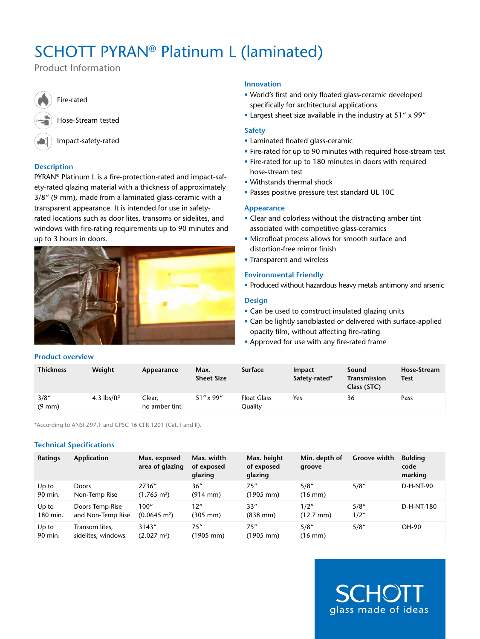# SCHOTT PYRAN® Platinum L (laminated)

Product Information

Fire-rated

Hose-Stream tested

Impact-safety-rated

# **Description**

PYRAN® Platinum L is a fire-protection-rated and impact-safety-rated glazing material with a thickness of approximately 3/8" (9 mm), made from a laminated glass-ceramic with a transparent appearance. It is intended for use in safetyrated locations such as door lites, transoms or sidelites, and windows with fire-rating requirements up to 90 minutes and up to 3 hours in doors.

# **Innovation**

- • World's first and only floated glass-ceramic developed specifically for architectural applications
- Largest sheet size available in the industry at 51" x 99"

# **Safety**

- • Laminated floated glass-ceramic
- Fire-rated for up to 90 minutes with required hose-stream test
- Fire-rated for up to 180 minutes in doors with required hose-stream test
- • Withstands thermal shock
- Passes positive pressure test standard UL 10C

# **Appearance**

- Clear and colorless without the distracting amber tint associated with competitive glass-ceramics
- • Microfloat process allows for smooth surface and distortion-free mirror finish
- Transparent and wireless

# **Environmental Friendly**

• Produced without hazardous heavy metals antimony and arsenic

# **Design**

- Can be used to construct insulated glazing units
- Can be lightly sandblasted or delivered with surface-applied opacity film, without affecting fire-rating
- Approved for use with any fire-rated frame

| <b>Thickness</b>          | Weight            | Appearance              | Max.<br><b>Sheet Size</b> | <b>Surface</b>                       | <b>Impact</b><br>Safety-rated* | Sound<br>Transmission<br>Class (STC) | <b>Hose-Stream</b><br><b>Test</b> |
|---------------------------|-------------------|-------------------------|---------------------------|--------------------------------------|--------------------------------|--------------------------------------|-----------------------------------|
| 3/8''<br>$(9 \text{ mm})$ | 4.3 $\frac{1}{2}$ | Clear.<br>no amber tint | $51''$ x 99"              | <b>Float Glass</b><br><b>Quality</b> | Yes                            | 36                                   | Pass                              |

\*According to ANSI Z97.1 and CPSC 16 CFR 1201 (Cat. I and II).

# **Technical Specifications**

**Product overview**

| <b>Ratings</b>    | Application                          | Max. exposed<br>area of glazing | Max. width<br>of exposed<br>glazing | Max. height<br>of exposed<br>glazing | Min. depth of<br>groove     | <b>Groove width</b> | <b>Bulding</b><br>code<br>marking |
|-------------------|--------------------------------------|---------------------------------|-------------------------------------|--------------------------------------|-----------------------------|---------------------|-----------------------------------|
| Up to<br>90 min.  | <b>Doors</b><br>Non-Temp Rise        | 2736"<br>$(1.765 \text{ m}^2)$  | 36''<br>$(914 \text{ mm})$          | 75''<br>(1905 mm)                    | 5/8''<br>$(16 \text{ mm})$  | 5/8''               | D-H-NT-90                         |
| Up to<br>180 min. | Doors Temp-Rise<br>and Non-Temp Rise | 100''<br>$(0.0645 \text{ m}^2)$ | 12"<br>(305 mm)                     | 33''<br>$(838 \, \text{mm})$         | 1/2"<br>$(12.7 \text{ mm})$ | 5/8''<br>1/2"       | D-H-NT-180                        |
| Up to<br>90 min.  | Transom lites,<br>sidelites, windows | 3143"<br>$(2.027 \text{ m}^2)$  | 75''<br>(1905 mm)                   | 75''<br>(1905 mm)                    | 5/8''<br>(16 mm)            | 5/8''               | OH-90                             |